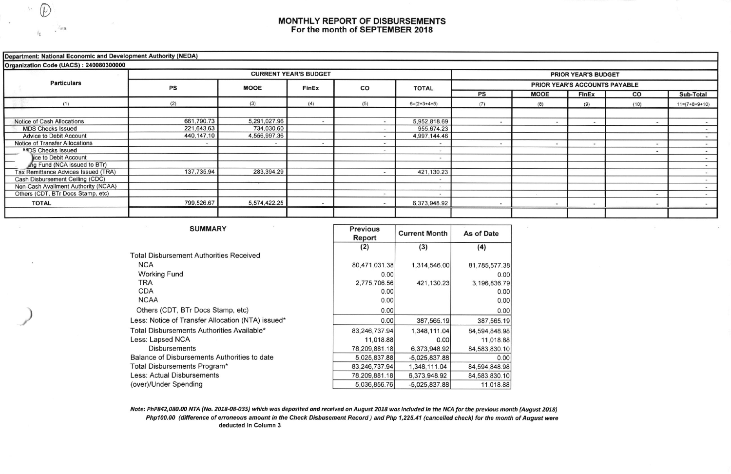## MONTHLY REPORT OF DISBURSEMENTS For the month of SEPTEMBER 2018

## Department: National Economic and Development Authority (NEDA)

| Organization Code (UACS): 240080300000 |            |              |                              |        |                            |                               |             |                          |        |                 |  |  |  |
|----------------------------------------|------------|--------------|------------------------------|--------|----------------------------|-------------------------------|-------------|--------------------------|--------|-----------------|--|--|--|
| <b>Particulars</b>                     |            |              | <b>CURRENT YEAR'S BUDGET</b> |        | <b>PRIOR YEAR'S BUDGET</b> |                               |             |                          |        |                 |  |  |  |
|                                        | PS         | <b>MOOE</b>  | FinEx                        | CO     | <b>TOTAL</b>               | PRIOR YEAR'S ACCOUNTS PAYABLE |             |                          |        |                 |  |  |  |
|                                        |            |              |                              |        |                            | PS                            | <b>MOOE</b> | <b>FInEx</b>             | co     | Sub-Total       |  |  |  |
| (1)                                    | (2)        | (3)          | (4)<br>(5)<br>$6=(2+3+4+5)$  |        |                            | (7)                           | (8)         | (9)                      | (10)   | $11=(7+8+9+10)$ |  |  |  |
|                                        |            |              |                              |        |                            |                               |             |                          |        |                 |  |  |  |
| Notice of Cash Allocations             | 661,790.73 | 5,291,027.96 | $\sim$                       |        | 5,952,818.69               |                               |             | $\sim$                   | $\sim$ |                 |  |  |  |
| <b>MDS Checks Issued</b>               | 221,643.63 | 734,030.60   |                              | $\sim$ | 955,674.23                 |                               |             |                          |        | $\blacksquare$  |  |  |  |
| <b>Advice to Debit Account</b>         | 440,147.10 | 4,556,997.36 |                              |        | 4,997,144.46               |                               |             |                          |        |                 |  |  |  |
| <b>Notice of Transfer Allocations</b>  |            | $\sim$       |                              |        |                            |                               |             | $\overline{\phantom{a}}$ | $-$    |                 |  |  |  |
| MDS Checks Issued                      |            |              |                              |        |                            |                               |             |                          | $\sim$ |                 |  |  |  |
| lice to Debit Account                  |            |              |                              |        |                            |                               |             |                          |        |                 |  |  |  |
| ing Fund (NCA issued to BTr)           |            |              |                              |        |                            |                               |             |                          |        |                 |  |  |  |
| Tax Remittance Advices Issued (TRA)    | 137,735.94 | 283,394.29   |                              |        | 421,130.23                 |                               |             |                          |        |                 |  |  |  |
| Cash Disbursement Ceiling (CDC)        |            |              |                              |        |                            |                               |             |                          |        |                 |  |  |  |
| Non-Cash Availment Authority (NCAA)    |            |              |                              |        |                            |                               |             |                          |        |                 |  |  |  |
| Others (CDT, BTr Docs Stamp, etc)      |            |              |                              |        |                            |                               |             |                          | $\sim$ |                 |  |  |  |
| <b>TOTAL</b>                           | 799,526.67 | 5,574,422.25 |                              |        | 6,373,948.92               |                               |             | $\overline{\phantom{a}}$ | $\sim$ |                 |  |  |  |
|                                        |            |              |                              |        |                            |                               |             |                          |        |                 |  |  |  |

**Previous** 

## **SUMMARY**

| SUMMARY                                           | <b>Previous</b><br>Report | <b>Current Month</b> | As of Date    |  |
|---------------------------------------------------|---------------------------|----------------------|---------------|--|
|                                                   | (2)                       | (3)                  | (4)           |  |
| <b>Total Disbursement Authorities Received</b>    |                           |                      |               |  |
| <b>NCA</b>                                        | 80,471,031.38             | 1,314,546.00         | 81,785,577.38 |  |
| <b>Working Fund</b>                               | 0.00                      |                      | 0.00          |  |
| TRA                                               | 2,775,706.56              | 421,130.23           | 3,196,836.79  |  |
| CDA                                               | 0.00                      |                      | 0.00          |  |
| <b>NCAA</b>                                       | 0.00                      |                      | 0.00          |  |
| Others (CDT, BTr Docs Stamp, etc)                 | 0.00                      |                      | 0.00          |  |
| Less: Notice of Transfer Allocation (NTA) issued* | 0.00                      | 387,565.19           | 387,565.19    |  |
| Total Disbursements Authorities Available*        | 83,246,737.94             | 1,348,111.04         | 84,594,848.98 |  |
| Less: Lapsed NCA                                  | 11,018.88                 | 0.00                 | 11,018.88     |  |
| <b>Disbursements</b>                              | 78,209,881.18             | 6,373,948.92         | 84,583,830.10 |  |
| Balance of Disbursements Authorities to date      | 5,025,837.88              | $-5.025.837.88$      | 0.00          |  |
| Total Disbursements Program*                      | 83,246,737.94             | 1,348,111.04         | 84,594,848.98 |  |
| Less: Actual Disbursements                        | 78,209,881.18             | 6,373,948.92         | 84,583,830.10 |  |
| (over)/Under Spending                             | 5,036,856.76              | $-5,025,837.88$      | 11,018.88     |  |

Note: PhP842,080.00 NTA (No. 2018-08-035) which was deposited and received on August 2018 was included in the NCA for the previous month (August 2018) Php100.00 (difference of erroneous amount in the Check Disbusement Record) and Php 1,225.41 (cancelled check) for the month of August were deducted in Column 3